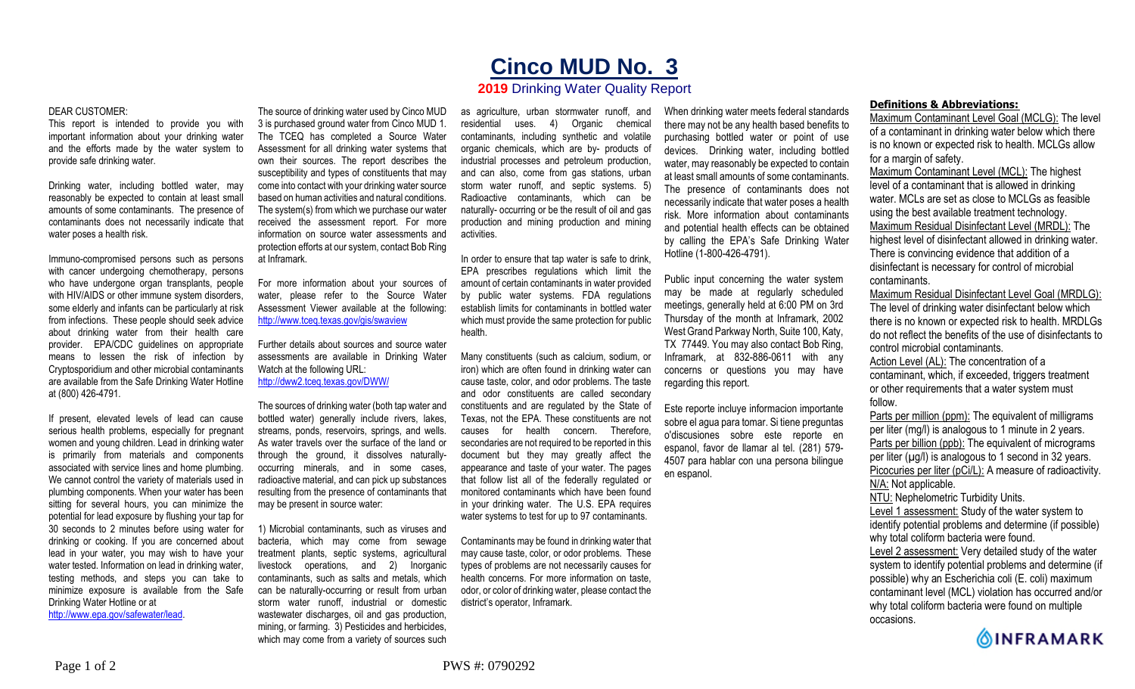## **Cinco MUD No. 3**

## **2019** Drinking Water Quality Report

## DEAR CUSTOMER:

This report is intended to provide you with important information about your drinking water and the efforts made by the water system to provide safe drinking water.

Drinking water, including bottled water, may reasonably be expected to contain at least small amounts of some contaminants. The presence of contaminants does not necessarily indicate that water poses a health risk.

Immuno-compromised persons such as persons with cancer undergoing chemotherapy, persons who have undergone organ transplants, people with HIV/AIDS or other immune system disorders, some elderly and infants can be particularly at risk from infections. These people should seek advice about drinking water from their health care provider. EPA/CDC guidelines on appropriate means to lessen the risk of infection by Cryptosporidium and other microbial contaminants are available from the Safe Drinking Water Hotline at (800) 426-4791.

If present, elevated levels of lead can cause serious health problems, especially for pregnant women and young children. Lead in drinking water is primarily from materials and components associated with service lines and home plumbing. We cannot control the variety of materials used in plumbing components. When your water has been sitting for several hours, you can minimize the potential for lead exposure by flushing your tap for 30 seconds to 2 minutes before using water for drinking or cooking. If you are concerned about lead in your water, you may wish to have your water tested. Information on lead in drinking water, testing methods, and steps you can take to minimize exposure is available from the Safe Drinking Water Hotline or at http://www.epa.gov/safewater/lead.

The source of drinking water used by Cinco MUD 3 is purchased ground water from Cinco MUD 1. The TCEQ has completed a Source Water Assessment for all drinking water systems that own their sources. The report describes the susceptibility and types of constituents that may come into contact with your drinking water source based on human activities and natural conditions. The system(s) from which we purchase our water received the assessment report. For more information on source water assessments and protection efforts at our system, contact Bob Ring at Inframark.

For more information about your sources of water, please refer to the Source Water Assessment Viewer available at the following: http://www.tceq.texas.gov/gis/swaview

Further details about sources and source water assessments are available in Drinking Water Watch at the following URL: http://dww2.tceq.texas.gov/DWW/

The sources of drinking water (both tap water and bottled water) generally include rivers, lakes, streams, ponds, reservoirs, springs, and wells. As water travels over the surface of the land or through the ground, it dissolves naturallyoccurring minerals, and in some cases, radioactive material, and can pick up substances resulting from the presence of contaminants that may be present in source water:

1) Microbial contaminants, such as viruses and bacteria, which may come from sewage treatment plants, septic systems, agricultural livestock operations, and 2) Inorganic contaminants, such as salts and metals, which can be naturally-occurring or result from urban storm water runoff, industrial or domestic wastewater discharges, oil and gas production, mining, or farming. 3) Pesticides and herbicides, which may come from a variety of sources such

as agriculture, urban stormwater runoff, and residential uses. 4) Organic chemical contaminants, including synthetic and volatile organic chemicals, which are by- products of industrial processes and petroleum production, and can also, come from gas stations, urban storm water runoff, and septic systems. 5) Radioactive contaminants, which can be naturally- occurring or be the result of oil and gas production and mining production and mining activities.

In order to ensure that tap water is safe to drink, EPA prescribes regulations which limit the amount of certain contaminants in water provided by public water systems. FDA regulations establish limits for contaminants in bottled water which must provide the same protection for public health.

Many constituents (such as calcium, sodium, or iron) which are often found in drinking water can cause taste, color, and odor problems. The taste and odor constituents are called secondary constituents and are regulated by the State of Texas, not the EPA. These constituents are not causes for health concern. Therefore, secondaries are not required to be reported in this document but they may greatly affect the appearance and taste of your water. The pages that follow list all of the federally regulated or monitored contaminants which have been found in your drinking water. The U.S. EPA requires water systems to test for up to 97 contaminants.

Contaminants may be found in drinking water that may cause taste, color, or odor problems. These types of problems are not necessarily causes for health concerns. For more information on taste, odor, or color of drinking water, please contact the district's operator, Inframark.

When drinking water meets federal standards there may not be any health based benefits to purchasing bottled water or point of use devices. Drinking water, including bottled water, may reasonably be expected to contain at least small amounts of some contaminants. The presence of contaminants does not necessarily indicate that water poses a health risk. More information about contaminants and potential health effects can be obtained by calling the EPA's Safe Drinking Water Hotline (1-800-426-4791).

Public input concerning the water system may be made at regularly scheduled meetings, generally held at 6:00 PM on 3rd Thursday of the month at Inframark, 2002 West Grand Parkway North, Suite 100, Katy, TX 77449. You may also contact Bob Ring, Inframark, at 832-886-0611 with any concerns or questions you may have regarding this report.

Este reporte incluye informacion importante sobre el agua para tomar. Si tiene preguntas o'discusiones sobre este reporte en espanol, favor de llamar al tel. (281) 579- 4507 para hablar con una persona bilingue en espanol.

## **Definitions & Abbreviations:**

Maximum Contaminant Level Goal (MCLG): The level of a contaminant in drinking water below which there is no known or expected risk to health. MCLGs allow for a margin of safety.

Maximum Contaminant Level (MCL): The highest level of a contaminant that is allowed in drinking water. MCLs are set as close to MCLGs as feasible using the best available treatment technology. Maximum Residual Disinfectant Level (MRDL): The highest level of disinfectant allowed in drinking water. There is convincing evidence that addition of a disinfectant is necessary for control of microbial contaminants.

Maximum Residual Disinfectant Level Goal (MRDLG): The level of drinking water disinfectant below which there is no known or expected risk to health. MRDLGs do not reflect the benefits of the use of disinfectants to control microbial contaminants.

Action Level (AL): The concentration of a contaminant, which, if exceeded, triggers treatment or other requirements that a water system must follow.

Parts per million (ppm): The equivalent of milligrams per liter (mg/l) is analogous to 1 minute in 2 years. Parts per billion (ppb): The equivalent of micrograms per liter  $(\mu g/l)$  is analogous to 1 second in 32 years. Picocuries per liter (pCi/L): A measure of radioactivity. N/A: Not applicable. NTU: Nephelometric Turbidity Units. Level 1 assessment: Study of the water system to

identify potential problems and determine (if possible) why total coliform bacteria were found.

Level 2 assessment: Very detailed study of the water system to identify potential problems and determine (if possible) why an Escherichia coli (E. coli) maximum contaminant level (MCL) violation has occurred and/or why total coliform bacteria were found on multiple occasions.

**OINFRAMARK**